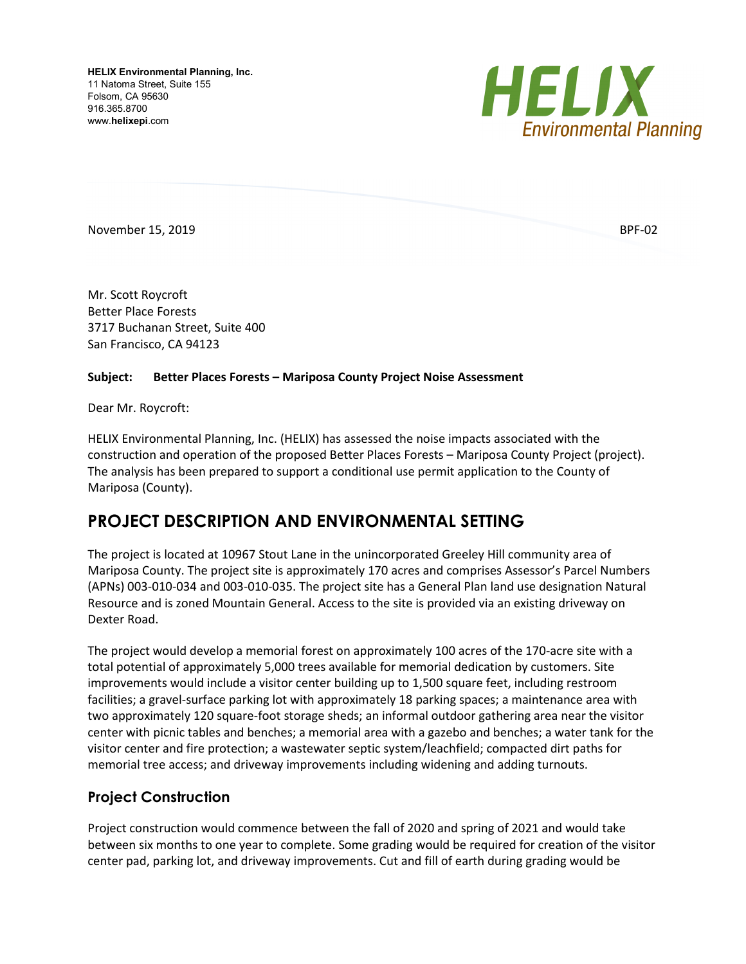**HELIX Environmental Planning, Inc.** 11 Natoma Street, Suite 155 Folsom, CA 95630 916.365.8700 www.**helixepi**.com



November 15, 2019 **BPF-02** 

Mr. Scott Roycroft Better Place Forests 3717 Buchanan Street, Suite 400 San Francisco, CA 94123

#### **Subject: Better Places Forests – Mariposa County Project Noise Assessment**

Dear Mr. Roycroft:

HELIX Environmental Planning, Inc. (HELIX) has assessed the noise impacts associated with the construction and operation of the proposed Better Places Forests – Mariposa County Project (project). The analysis has been prepared to support a conditional use permit application to the County of Mariposa (County).

# **PROJECT DESCRIPTION AND ENVIRONMENTAL SETTING**

The project is located at 10967 Stout Lane in the unincorporated Greeley Hill community area of Mariposa County. The project site is approximately 170 acres and comprises Assessor's Parcel Numbers (APNs) 003-010-034 and 003-010-035. The project site has a General Plan land use designation Natural Resource and is zoned Mountain General. Access to the site is provided via an existing driveway on Dexter Road.

The project would develop a memorial forest on approximately 100 acres of the 170-acre site with a total potential of approximately 5,000 trees available for memorial dedication by customers. Site improvements would include a visitor center building up to 1,500 square feet, including restroom facilities; a gravel-surface parking lot with approximately 18 parking spaces; a maintenance area with two approximately 120 square-foot storage sheds; an informal outdoor gathering area near the visitor center with picnic tables and benches; a memorial area with a gazebo and benches; a water tank for the visitor center and fire protection; a wastewater septic system/leachfield; compacted dirt paths for memorial tree access; and driveway improvements including widening and adding turnouts.

## **Project Construction**

Project construction would commence between the fall of 2020 and spring of 2021 and would take between six months to one year to complete. Some grading would be required for creation of the visitor center pad, parking lot, and driveway improvements. Cut and fill of earth during grading would be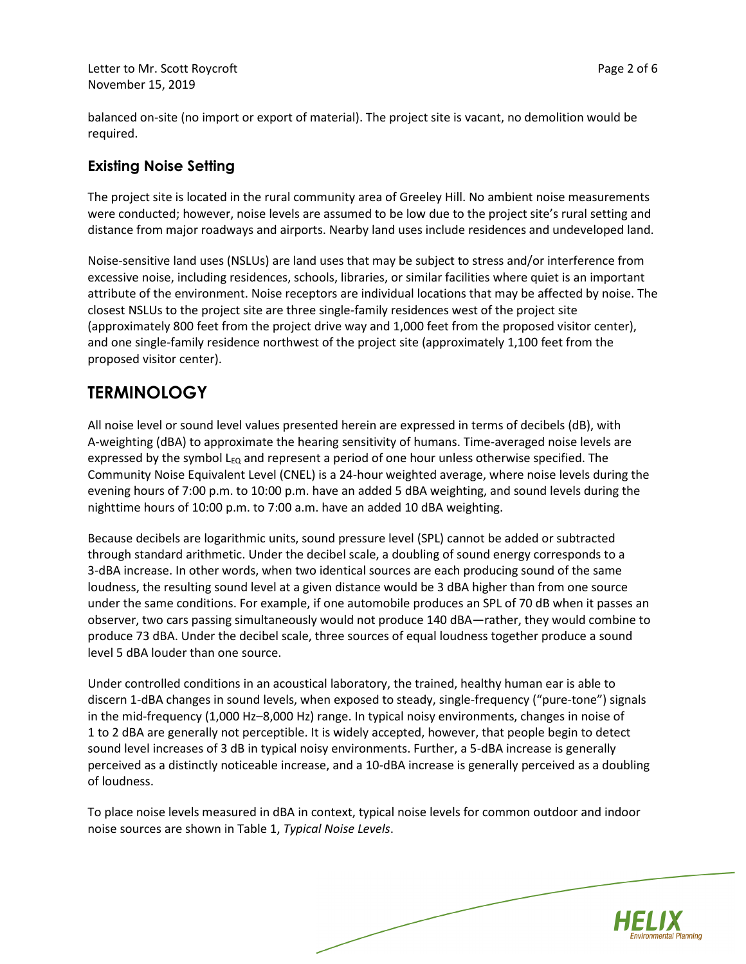Letter to Mr. Scott Roycroft **Page 2 of 6** November 15, 2019

balanced on-site (no import or export of material). The project site is vacant, no demolition would be required.

## **Existing Noise Setting**

The project site is located in the rural community area of Greeley Hill. No ambient noise measurements were conducted; however, noise levels are assumed to be low due to the project site's rural setting and distance from major roadways and airports. Nearby land uses include residences and undeveloped land.

Noise-sensitive land uses (NSLUs) are land uses that may be subject to stress and/or interference from excessive noise, including residences, schools, libraries, or similar facilities where quiet is an important attribute of the environment. Noise receptors are individual locations that may be affected by noise. The closest NSLUs to the project site are three single-family residences west of the project site (approximately 800 feet from the project drive way and 1,000 feet from the proposed visitor center), and one single-family residence northwest of the project site (approximately 1,100 feet from the proposed visitor center).

# **TERMINOLOGY**

All noise level or sound level values presented herein are expressed in terms of decibels (dB), with A-weighting (dBA) to approximate the hearing sensitivity of humans. Time-averaged noise levels are expressed by the symbol  $L_{\text{EQ}}$  and represent a period of one hour unless otherwise specified. The Community Noise Equivalent Level (CNEL) is a 24-hour weighted average, where noise levels during the evening hours of 7:00 p.m. to 10:00 p.m. have an added 5 dBA weighting, and sound levels during the nighttime hours of 10:00 p.m. to 7:00 a.m. have an added 10 dBA weighting.

Because decibels are logarithmic units, sound pressure level (SPL) cannot be added or subtracted through standard arithmetic. Under the decibel scale, a doubling of sound energy corresponds to a 3-dBA increase. In other words, when two identical sources are each producing sound of the same loudness, the resulting sound level at a given distance would be 3 dBA higher than from one source under the same conditions. For example, if one automobile produces an SPL of 70 dB when it passes an observer, two cars passing simultaneously would not produce 140 dBA—rather, they would combine to produce 73 dBA. Under the decibel scale, three sources of equal loudness together produce a sound level 5 dBA louder than one source.

Under controlled conditions in an acoustical laboratory, the trained, healthy human ear is able to discern 1-dBA changes in sound levels, when exposed to steady, single-frequency ("pure-tone") signals in the mid-frequency (1,000 Hz–8,000 Hz) range. In typical noisy environments, changes in noise of 1 to 2 dBA are generally not perceptible. It is widely accepted, however, that people begin to detect sound level increases of 3 dB in typical noisy environments. Further, a 5-dBA increase is generally perceived as a distinctly noticeable increase, and a 10-dBA increase is generally perceived as a doubling of loudness.

To place noise levels measured in dBA in context, typical noise levels for common outdoor and indoor noise sources are shown in Table 1, *Typical Noise Levels*.

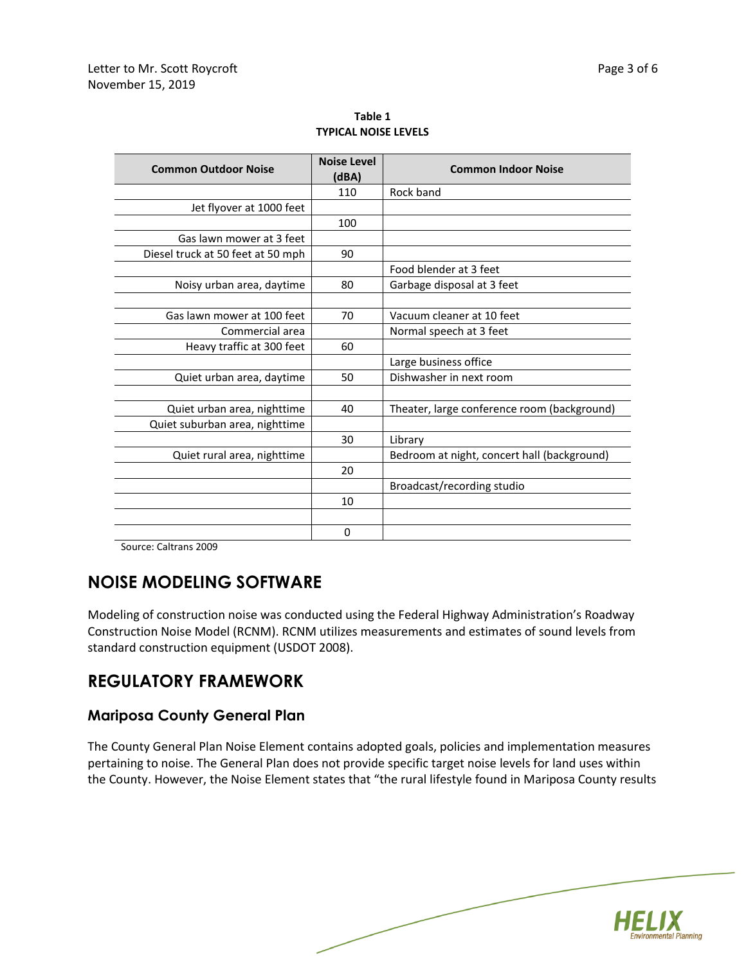| <b>Noise Level</b><br>(dBA) | <b>Common Indoor Noise</b>                  |  |  |
|-----------------------------|---------------------------------------------|--|--|
| 110                         | Rock band                                   |  |  |
|                             |                                             |  |  |
| 100                         |                                             |  |  |
|                             |                                             |  |  |
| 90                          |                                             |  |  |
|                             | Food blender at 3 feet                      |  |  |
| 80                          | Garbage disposal at 3 feet                  |  |  |
|                             |                                             |  |  |
| 70                          | Vacuum cleaner at 10 feet                   |  |  |
|                             | Normal speech at 3 feet                     |  |  |
| 60                          |                                             |  |  |
|                             | Large business office                       |  |  |
| 50                          | Dishwasher in next room                     |  |  |
|                             |                                             |  |  |
| 40                          | Theater, large conference room (background) |  |  |
|                             |                                             |  |  |
| 30                          | Library                                     |  |  |
|                             | Bedroom at night, concert hall (background) |  |  |
| 20                          |                                             |  |  |
|                             | Broadcast/recording studio                  |  |  |
| 10                          |                                             |  |  |
|                             |                                             |  |  |
| $\Omega$                    |                                             |  |  |
|                             |                                             |  |  |

**Table 1 TYPICAL NOISE LEVELS**

Source: Caltrans 2009

# **NOISE MODELING SOFTWARE**

Modeling of construction noise was conducted using the Federal Highway Administration's Roadway Construction Noise Model (RCNM). RCNM utilizes measurements and estimates of sound levels from standard construction equipment (USDOT 2008).

## **REGULATORY FRAMEWORK**

#### **Mariposa County General Plan**

The County General Plan Noise Element contains adopted goals, policies and implementation measures pertaining to noise. The General Plan does not provide specific target noise levels for land uses within the County. However, the Noise Element states that "the rural lifestyle found in Mariposa County results

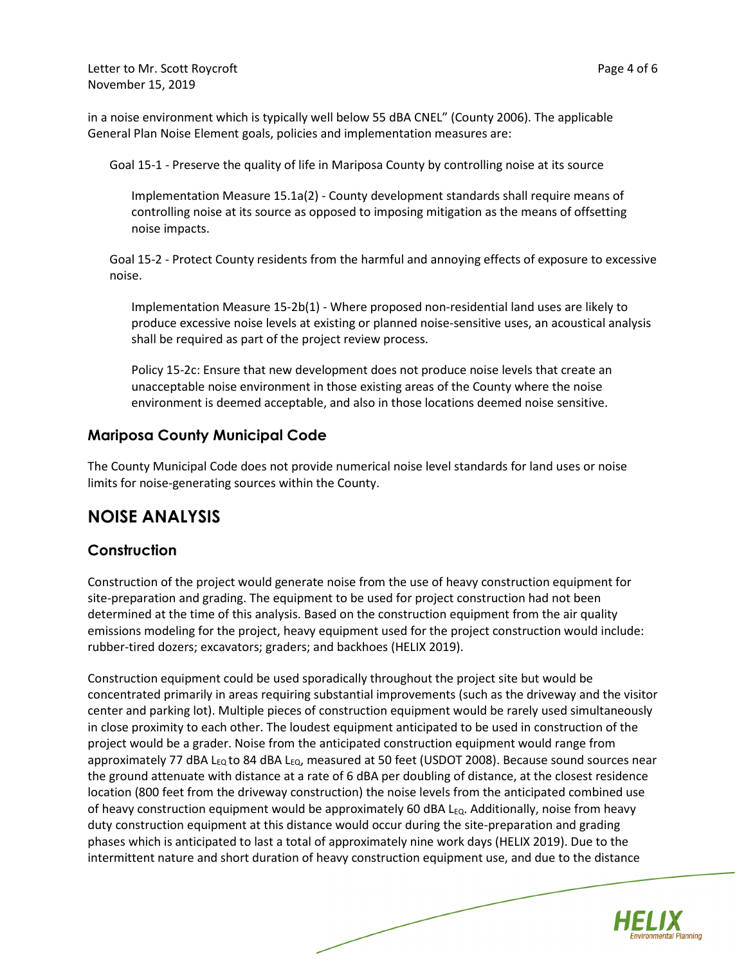Letter to Mr. Scott Roycroft **Page 4 of 6** November 15, 2019

in a noise environment which is typically well below 55 dBA CNEL" (County 2006). The applicable General Plan Noise Element goals, policies and implementation measures are:

Goal 15-1 - Preserve the quality of life in Mariposa County by controlling noise at its source

Implementation Measure 15.1a(2) - County development standards shall require means of controlling noise at its source as opposed to imposing mitigation as the means of offsetting noise impacts.

Goal 15-2 - Protect County residents from the harmful and annoying effects of exposure to excessive noise.

Implementation Measure 15-2b(1) - Where proposed non-residential land uses are likely to produce excessive noise levels at existing or planned noise-sensitive uses, an acoustical analysis shall be required as part of the project review process.

Policy 15-2c: Ensure that new development does not produce noise levels that create an unacceptable noise environment in those existing areas of the County where the noise environment is deemed acceptable, and also in those locations deemed noise sensitive.

#### **Mariposa County Municipal Code**

The County Municipal Code does not provide numerical noise level standards for land uses or noise limits for noise-generating sources within the County.

## **NOISE ANALYSIS**

#### **Construction**

Construction of the project would generate noise from the use of heavy construction equipment for site-preparation and grading. The equipment to be used for project construction had not been determined at the time of this analysis. Based on the construction equipment from the air quality emissions modeling for the project, heavy equipment used for the project construction would include: rubber-tired dozers; excavators; graders; and backhoes (HELIX 2019).

Construction equipment could be used sporadically throughout the project site but would be concentrated primarily in areas requiring substantial improvements (such as the driveway and the visitor center and parking lot). Multiple pieces of construction equipment would be rarely used simultaneously in close proximity to each other. The loudest equipment anticipated to be used in construction of the project would be a grader. Noise from the anticipated construction equipment would range from approximately 77 dBA L<sub>EQ</sub> to 84 dBA L<sub>EQ</sub>, measured at 50 feet (USDOT 2008). Because sound sources near the ground attenuate with distance at a rate of 6 dBA per doubling of distance, at the closest residence location (800 feet from the driveway construction) the noise levels from the anticipated combined use of heavy construction equipment would be approximately 60 dBA  $L_{EQ}$ . Additionally, noise from heavy duty construction equipment at this distance would occur during the site-preparation and grading phases which is anticipated to last a total of approximately nine work days (HELIX 2019). Due to the intermittent nature and short duration of heavy construction equipment use, and due to the distance

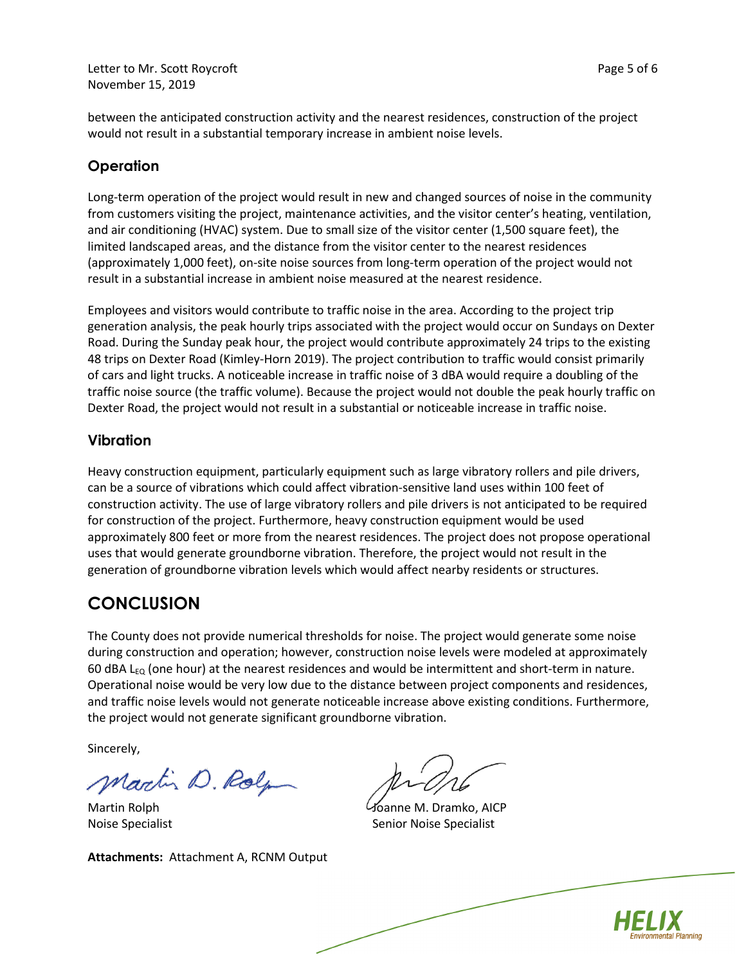Letter to Mr. Scott Roycroft **Page 5 of 6** November 15, 2019

between the anticipated construction activity and the nearest residences, construction of the project would not result in a substantial temporary increase in ambient noise levels.

## **Operation**

Long-term operation of the project would result in new and changed sources of noise in the community from customers visiting the project, maintenance activities, and the visitor center's heating, ventilation, and air conditioning (HVAC) system. Due to small size of the visitor center (1,500 square feet), the limited landscaped areas, and the distance from the visitor center to the nearest residences (approximately 1,000 feet), on-site noise sources from long-term operation of the project would not result in a substantial increase in ambient noise measured at the nearest residence.

Employees and visitors would contribute to traffic noise in the area. According to the project trip generation analysis, the peak hourly trips associated with the project would occur on Sundays on Dexter Road. During the Sunday peak hour, the project would contribute approximately 24 trips to the existing 48 trips on Dexter Road (Kimley-Horn 2019). The project contribution to traffic would consist primarily of cars and light trucks. A noticeable increase in traffic noise of 3 dBA would require a doubling of the traffic noise source (the traffic volume). Because the project would not double the peak hourly traffic on Dexter Road, the project would not result in a substantial or noticeable increase in traffic noise.

#### **Vibration**

Heavy construction equipment, particularly equipment such as large vibratory rollers and pile drivers, can be a source of vibrations which could affect vibration-sensitive land uses within 100 feet of construction activity. The use of large vibratory rollers and pile drivers is not anticipated to be required for construction of the project. Furthermore, heavy construction equipment would be used approximately 800 feet or more from the nearest residences. The project does not propose operational uses that would generate groundborne vibration. Therefore, the project would not result in the generation of groundborne vibration levels which would affect nearby residents or structures.

# **CONCLUSION**

The County does not provide numerical thresholds for noise. The project would generate some noise during construction and operation; however, construction noise levels were modeled at approximately 60 dBA L<sub>EQ</sub> (one hour) at the nearest residences and would be intermittent and short-term in nature. Operational noise would be very low due to the distance between project components and residences, and traffic noise levels would not generate noticeable increase above existing conditions. Furthermore, the project would not generate significant groundborne vibration.

Sincerely,

Martin D. Rolp

Martin Rolph Noise Specialist

**Attachments:** Attachment A, RCNM Output

Joanne M. Dramko, AICP Senior Noise Specialist

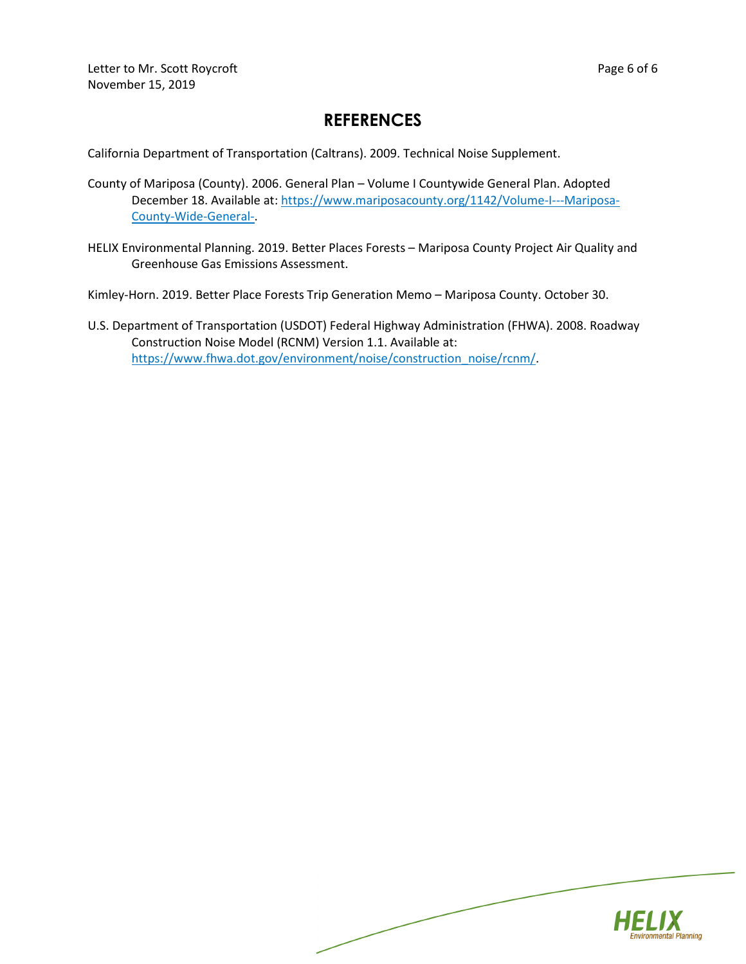# **REFERENCES**

California Department of Transportation (Caltrans). 2009. Technical Noise Supplement.

- County of Mariposa (County). 2006. General Plan Volume I Countywide General Plan. Adopted December 18. Available at[: https://www.mariposacounty.org/1142/Volume-I---Mariposa-](https://www.mariposacounty.org/1142/Volume-I---Mariposa-County-Wide-General-)[County-Wide-General-.](https://www.mariposacounty.org/1142/Volume-I---Mariposa-County-Wide-General-)
- HELIX Environmental Planning. 2019. Better Places Forests Mariposa County Project Air Quality and Greenhouse Gas Emissions Assessment.

Kimley-Horn. 2019. Better Place Forests Trip Generation Memo – Mariposa County. October 30.

U.S. Department of Transportation (USDOT) Federal Highway Administration (FHWA). 2008. Roadway Construction Noise Model (RCNM) Version 1.1. Available at: [https://www.fhwa.dot.gov/environment/noise/construction\\_noise/rcnm/.](https://www.fhwa.dot.gov/environment/noise/construction_noise/rcnm/)

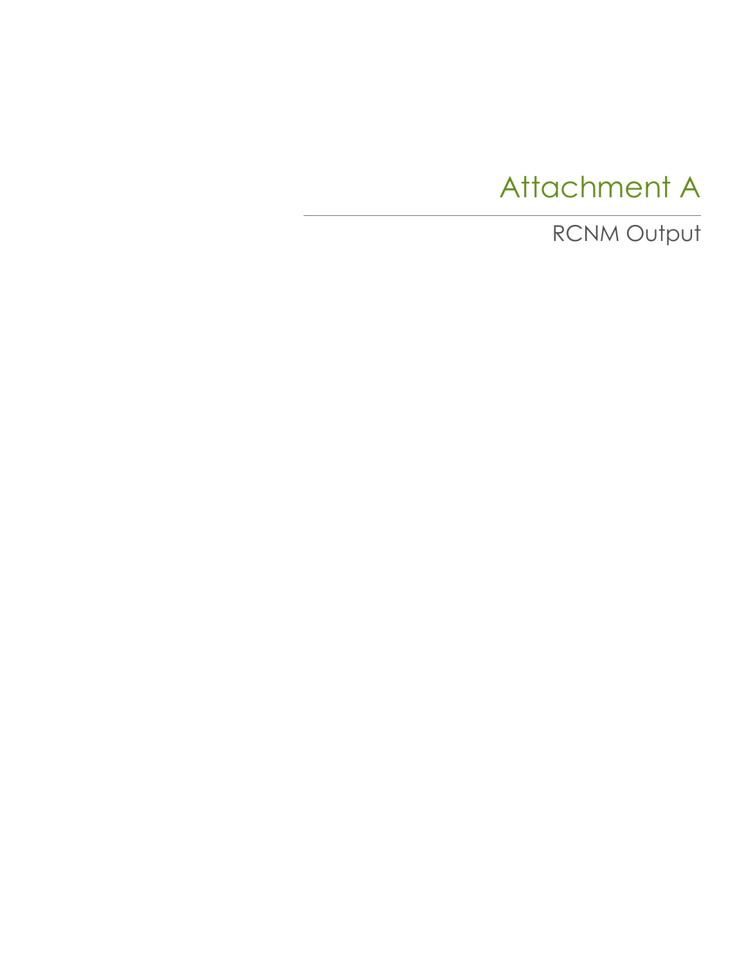# Attachment A

RCNM Output